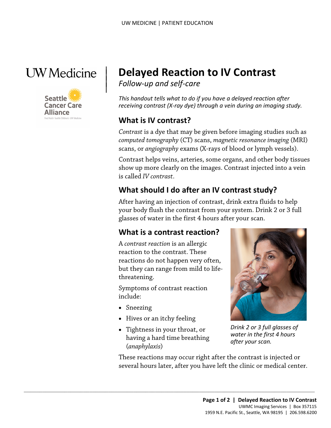

 $\vert$  $\parallel$ 



# | **Delayed Reaction to IV Contrast**

*Follow-up and self-care* 

*This handout tells what to do if you have a delayed reaction after receiving contrast (X-ray dye) through a vein during an imaging study.* 

#### **What is IV contrast?**

 *computed tomography* (CT) scans, *magnetic resonance imaging* (MRI) *Contrast* is a dye that may be given before imaging studies such as scans, or *angiography* exams (X-rays of blood or lymph vessels).

 Contrast helps veins, arteries, some organs, and other body tissues show up more clearly on the images. Contrast injected into a vein is called *IV contrast*.

## **What should I do after an IV contrast study?**

After having an injection of contrast, drink extra fluids to help your body flush the contrast from your system. Drink 2 or 3 full glasses of water in the first 4 hours after your scan.

## **What is a contrast reaction?**

A *contrast reaction* is an allergic reaction to the contrast. These reactions do not happen very often, but they can range from mild to lifethreatening.

Symptoms of contrast reaction include:

- Sneezing
- Hives or an itchy feeling
- Tightness in your throat, or having a hard time breathing (*anaphylaxis*)

 $\_$  ,  $\_$  ,  $\_$  ,  $\_$  ,  $\_$  ,  $\_$  ,  $\_$  ,  $\_$  ,  $\_$  ,  $\_$  ,  $\_$  ,  $\_$  ,  $\_$  ,  $\_$  ,  $\_$  ,  $\_$  ,  $\_$  ,  $\_$  ,  $\_$  ,  $\_$  ,  $\_$  ,  $\_$  ,  $\_$  ,  $\_$  ,  $\_$  ,  $\_$  ,  $\_$  ,  $\_$  ,  $\_$  ,  $\_$  ,  $\_$  ,  $\_$  ,  $\_$  ,  $\_$  ,  $\_$  ,  $\_$  ,  $\_$  ,



*Drink 2 or 3 full glasses of water in the first 4 hours after your scan.* 

These reactions may occur right after the contrast is injected or several hours later, after you have left the clinic or medical center.